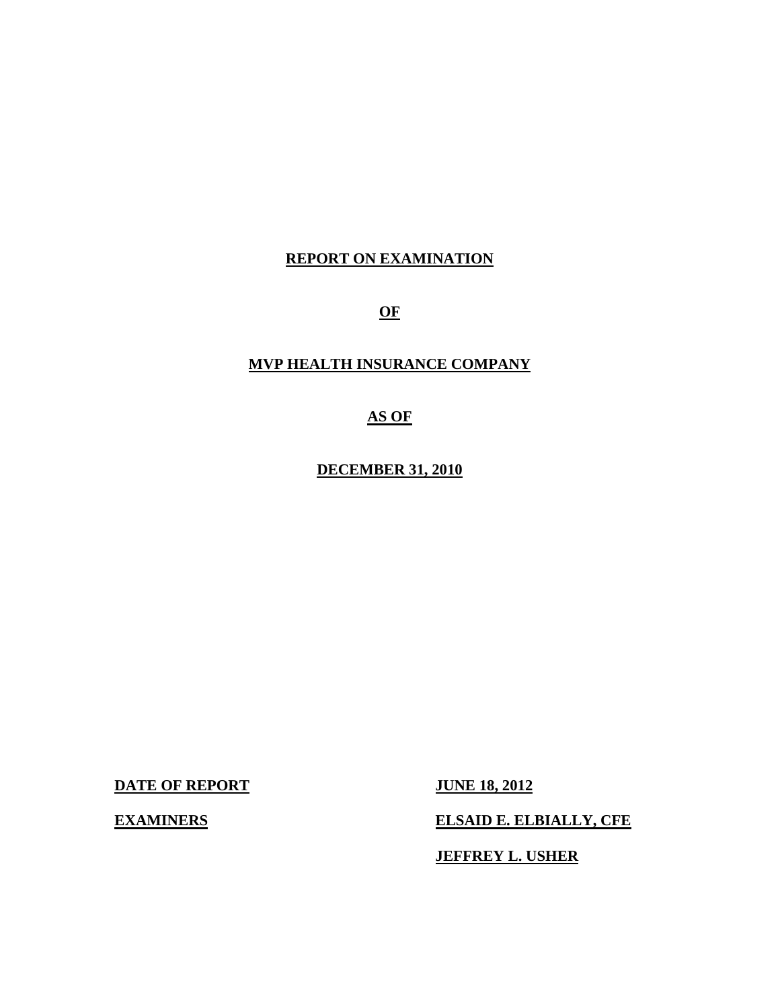# **REPORT ON EXAMINATION**

**OF** 

# **MVP HEALTH INSURANCE COMPANY**

**AS OF** 

**DECEMBER 31, 2010** 

**DATE OF REPORT JUNE 18, 2012** 

**EXAMINERS** ELSAID E. ELBIALLY, CFE

**JEFFREY L. USHER**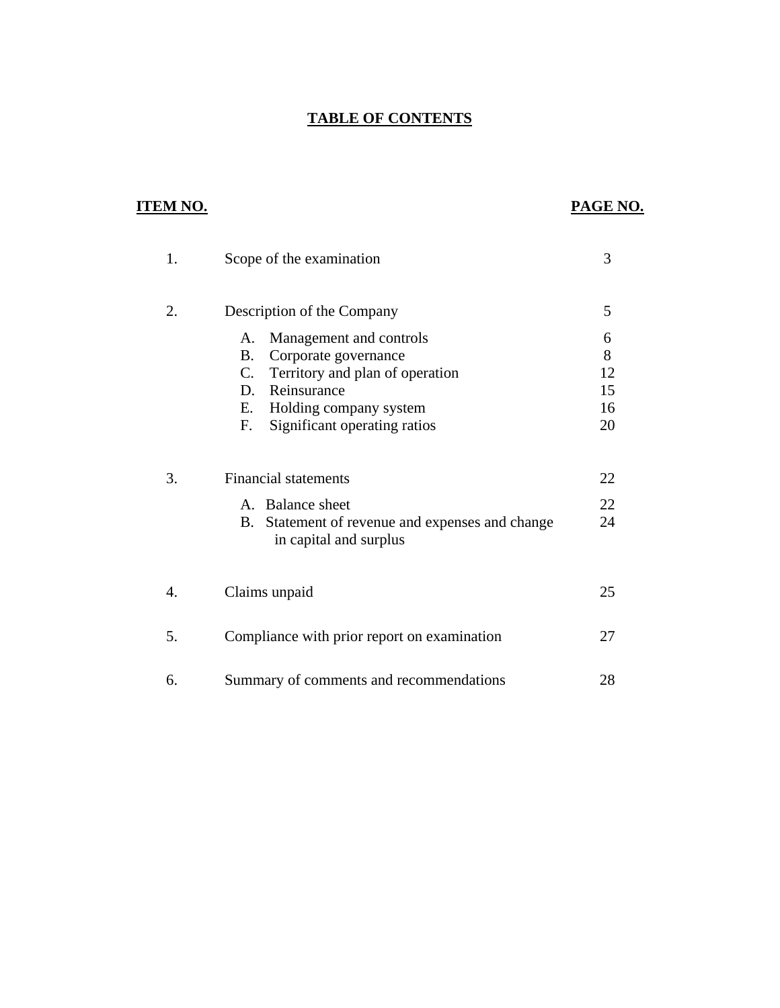# **TABLE OF CONTENTS**

# **ITEM NO. PAGE NO.**

| 1. | Scope of the examination                                                                                                        | 3              |
|----|---------------------------------------------------------------------------------------------------------------------------------|----------------|
| 2. | Description of the Company                                                                                                      | 5              |
|    | Management and controls<br>A.                                                                                                   | 6              |
|    | <b>B.</b><br>Corporate governance<br>Territory and plan of operation<br>C.                                                      | 8<br>12        |
|    | Reinsurance<br>D.                                                                                                               | 15             |
|    | Е.<br>Holding company system                                                                                                    | 16             |
|    | Significant operating ratios<br>F.                                                                                              | 20             |
| 3. | <b>Financial statements</b><br>A. Balance sheet<br>B.<br>Statement of revenue and expenses and change<br>in capital and surplus | 22<br>22<br>24 |
| 4. | Claims unpaid                                                                                                                   | 25             |
| 5. | Compliance with prior report on examination                                                                                     | 27             |
| 6. | Summary of comments and recommendations                                                                                         | 28             |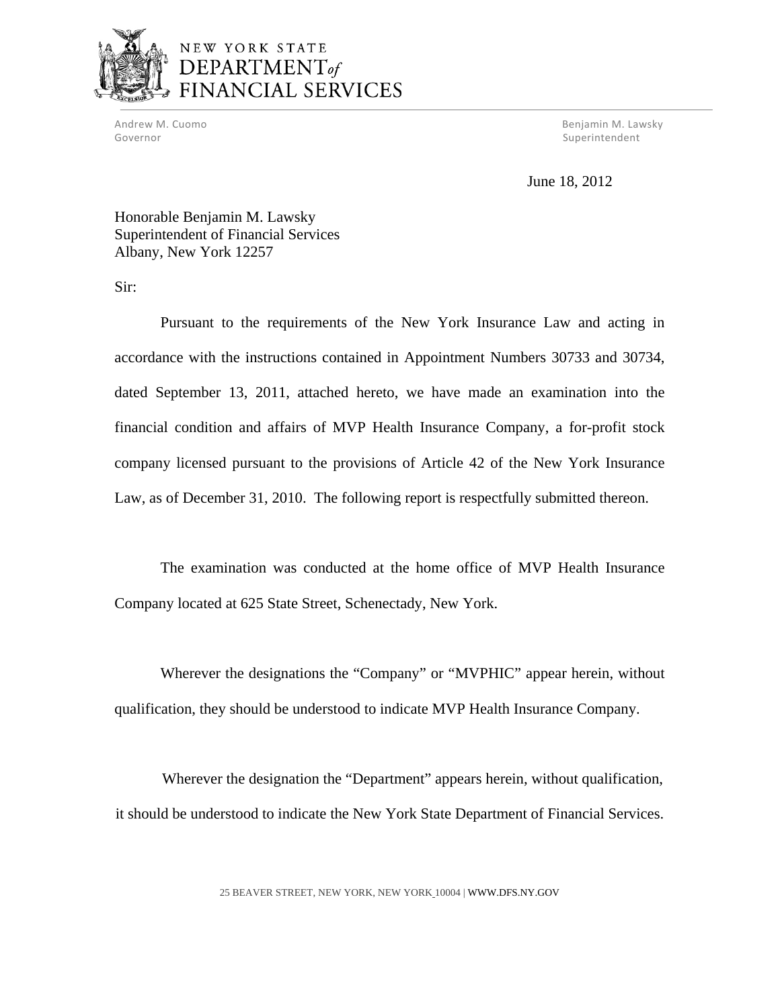

# NEW YORK STATE DEPARTMENT<sub>of</sub> FINANCIAL SERVICES

Governor **Superintendent** Superintendent Superintendent Superintendent Superintendent Superintendent Superintendent

Andrew M. Cuomo Benjamin M. Lawsky

June 18, 2012

Honorable Benjamin M. Lawsky Superintendent of Financial Services Albany, New York 12257

Sir:

Pursuant to the requirements of the New York Insurance Law and acting in accordance with the instructions contained in Appointment Numbers 30733 and 30734, dated September 13, 2011, attached hereto, we have made an examination into the financial condition and affairs of MVP Health Insurance Company, a for-profit stock company licensed pursuant to the provisions of Article 42 of the New York Insurance Law, as of December 31, 2010. The following report is respectfully submitted thereon.

The examination was conducted at the home office of MVP Health Insurance Company located at 625 State Street, Schenectady, New York.

Wherever the designations the "Company" or "MVPHIC" appear herein, without qualification, they should be understood to indicate MVP Health Insurance Company.

Wherever the designation the "Department" appears herein, without qualification, it should be understood to indicate the New York State Department of Financial Services.

25 BEAVER STREET, NEW YORK, NEW YORK 10004 |<WWW.DFS.NY.GOV>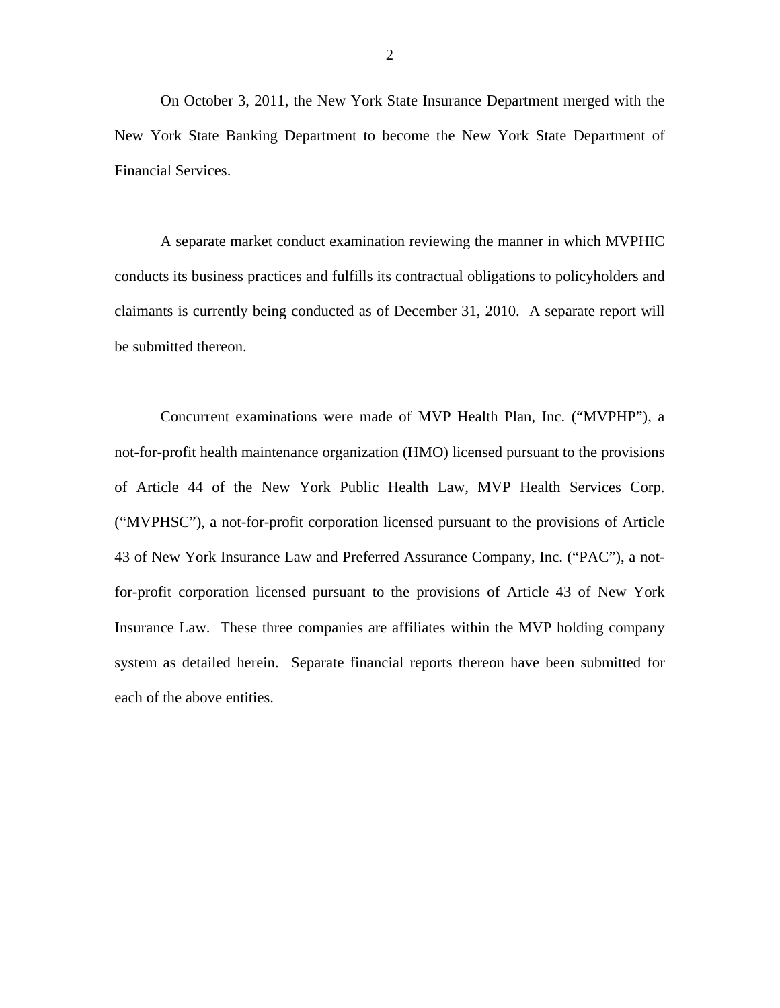On October 3, 2011, the New York State Insurance Department merged with the New York State Banking Department to become the New York State Department of Financial Services.

A separate market conduct examination reviewing the manner in which MVPHIC conducts its business practices and fulfills its contractual obligations to policyholders and claimants is currently being conducted as of December 31, 2010. A separate report will be submitted thereon.

Concurrent examinations were made of MVP Health Plan, Inc. ("MVPHP"), a not-for-profit health maintenance organization (HMO) licensed pursuant to the provisions of Article 44 of the New York Public Health Law, MVP Health Services Corp. ("MVPHSC"), a not-for-profit corporation licensed pursuant to the provisions of Article 43 of New York Insurance Law and Preferred Assurance Company, Inc. ("PAC"), a notfor-profit corporation licensed pursuant to the provisions of Article 43 of New York Insurance Law. These three companies are affiliates within the MVP holding company system as detailed herein. Separate financial reports thereon have been submitted for each of the above entities.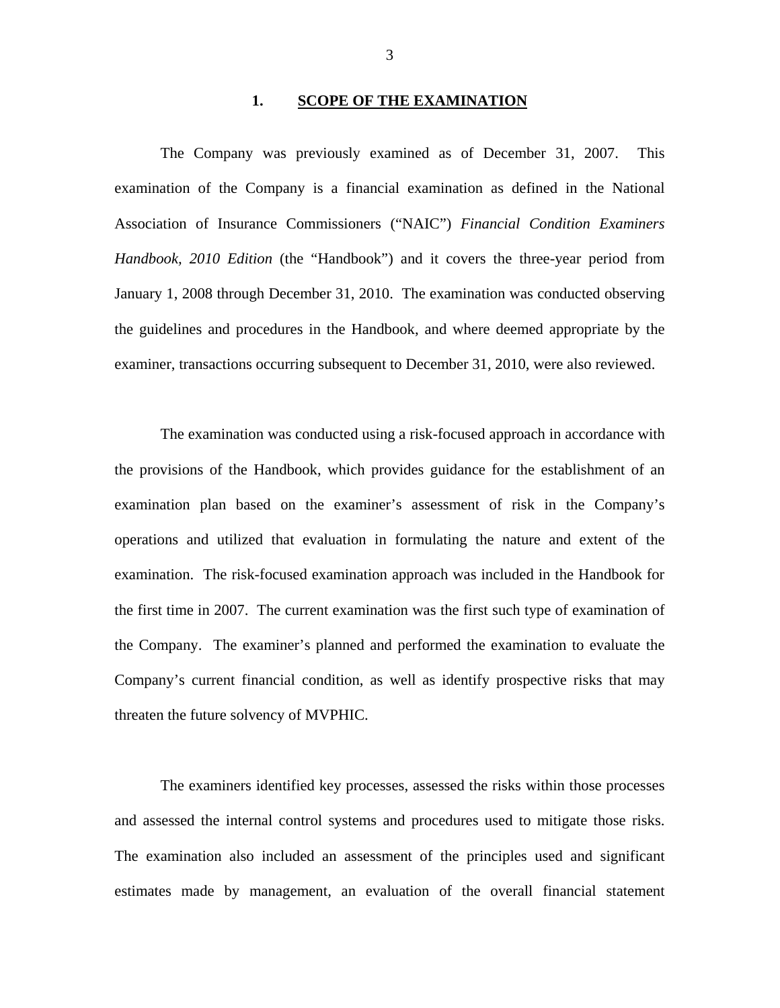### **1. SCOPE OF THE EXAMINATION**

<span id="page-4-0"></span>The Company was previously examined as of December 31, 2007. This examination of the Company is a financial examination as defined in the National Association of Insurance Commissioners ("NAIC") *Financial Condition Examiners Handbook, 2010 Edition* (the "Handbook") and it covers the three-year period from January 1, 2008 through December 31, 2010. The examination was conducted observing the guidelines and procedures in the Handbook, and where deemed appropriate by the examiner, transactions occurring subsequent to December 31, 2010, were also reviewed.

The examination was conducted using a risk-focused approach in accordance with the provisions of the Handbook, which provides guidance for the establishment of an examination plan based on the examiner's assessment of risk in the Company's operations and utilized that evaluation in formulating the nature and extent of the examination. The risk-focused examination approach was included in the Handbook for the first time in 2007. The current examination was the first such type of examination of the Company. The examiner's planned and performed the examination to evaluate the Company's current financial condition, as well as identify prospective risks that may threaten the future solvency of MVPHIC.

The examiners identified key processes, assessed the risks within those processes and assessed the internal control systems and procedures used to mitigate those risks. The examination also included an assessment of the principles used and significant estimates made by management, an evaluation of the overall financial statement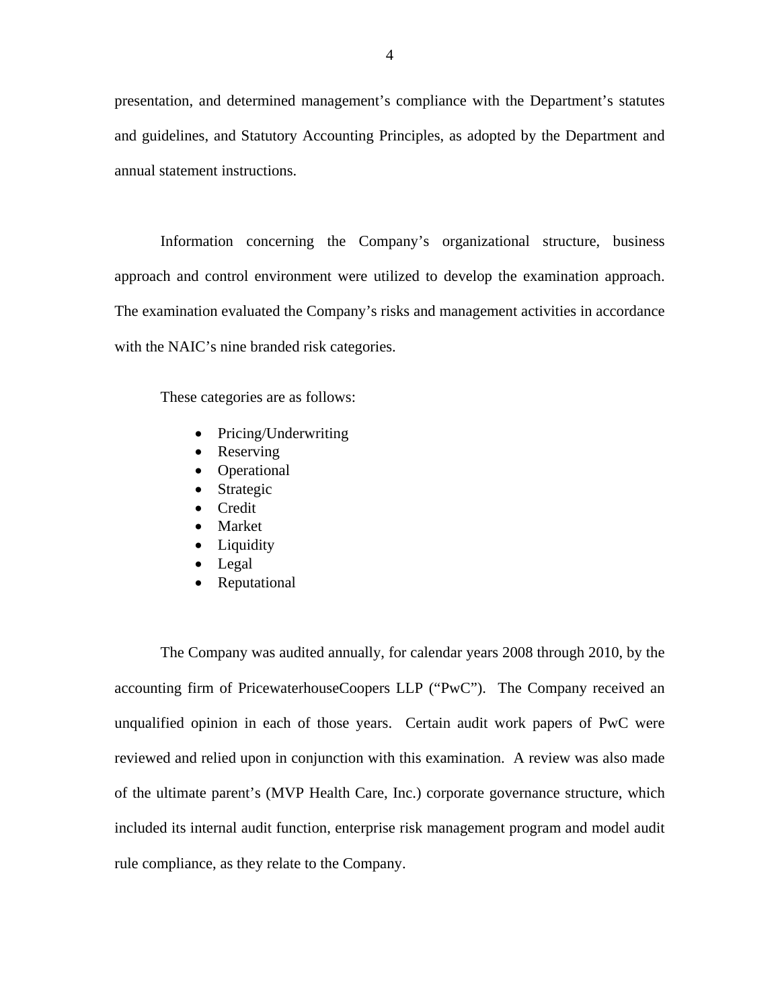presentation, and determined management's compliance with the Department's statutes and guidelines, and Statutory Accounting Principles, as adopted by the Department and annual statement instructions.

Information concerning the Company's organizational structure, business approach and control environment were utilized to develop the examination approach. The examination evaluated the Company's risks and management activities in accordance with the NAIC's nine branded risk categories.

These categories are as follows:

- Pricing/Underwriting
- Reserving
- Operational
- Strategic
- **•** Credit
- Market
- Liquidity
- Legal
- Reputational

The Company was audited annually, for calendar years 2008 through 2010, by the accounting firm of PricewaterhouseCoopers LLP ("PwC"). The Company received an unqualified opinion in each of those years. Certain audit work papers of PwC were reviewed and relied upon in conjunction with this examination. A review was also made of the ultimate parent's (MVP Health Care, Inc.) corporate governance structure, which included its internal audit function, enterprise risk management program and model audit rule compliance, as they relate to the Company.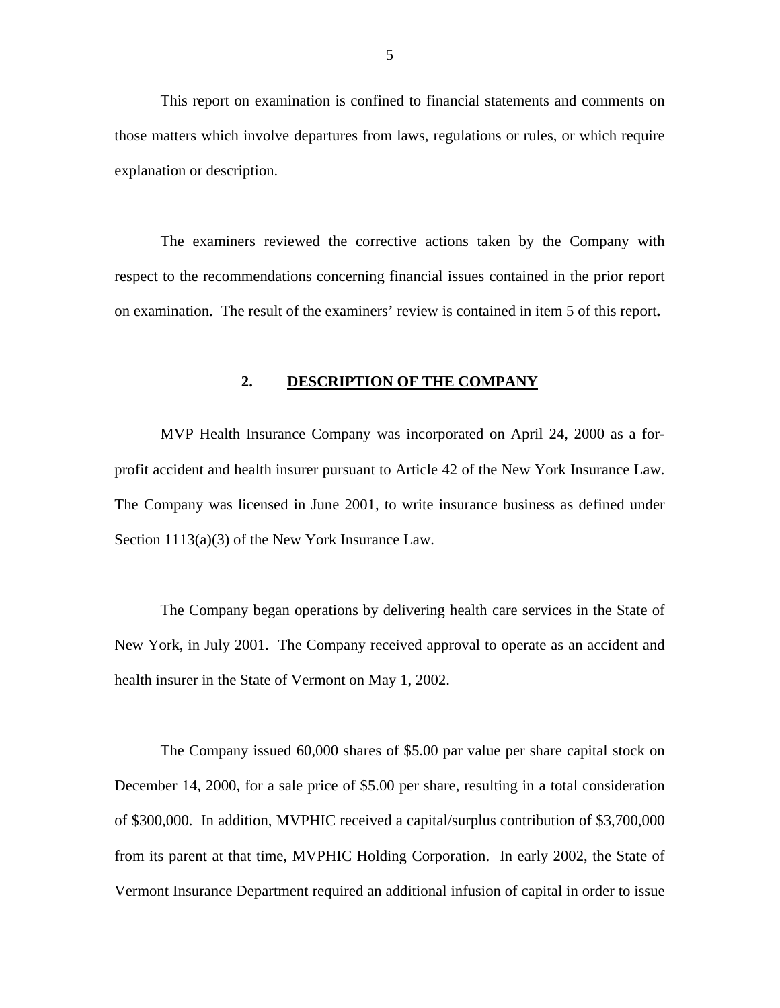<span id="page-6-0"></span>This report on examination is confined to financial statements and comments on those matters which involve departures from laws, regulations or rules, or which require explanation or description.

The examiners reviewed the corrective actions taken by the Company with respect to the recommendations concerning financial issues contained in the prior report on examination. The result of the examiners' review is contained in item 5 of this report**.** 

### **2. DESCRIPTION OF THE COMPANY**

MVP Health Insurance Company was incorporated on April 24, 2000 as a forprofit accident and health insurer pursuant to Article 42 of the New York Insurance Law. The Company was licensed in June 2001, to write insurance business as defined under Section 1113(a)(3) of the New York Insurance Law.

The Company began operations by delivering health care services in the State of New York, in July 2001. The Company received approval to operate as an accident and health insurer in the State of Vermont on May 1, 2002.

The Company issued 60,000 shares of \$5.00 par value per share capital stock on December 14, 2000, for a sale price of \$5.00 per share, resulting in a total consideration of \$300,000. In addition, MVPHIC received a capital/surplus contribution of \$3,700,000 from its parent at that time, MVPHIC Holding Corporation. In early 2002, the State of Vermont Insurance Department required an additional infusion of capital in order to issue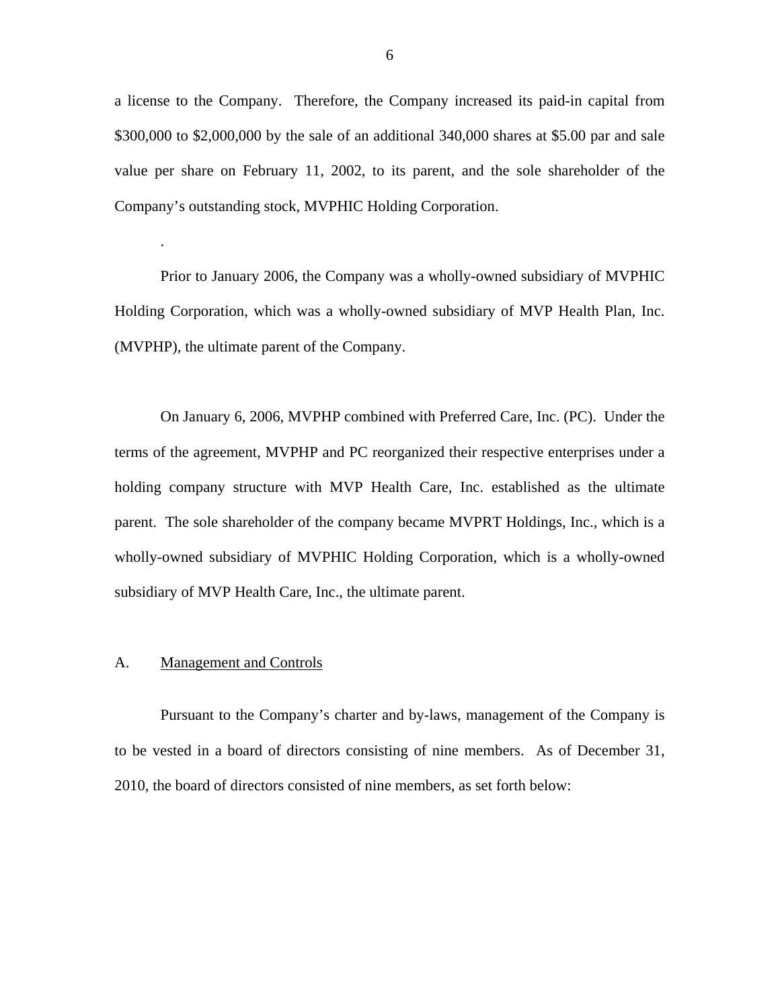<span id="page-7-0"></span>a license to the Company. Therefore, the Company increased its paid-in capital from \$300,000 to \$2,000,000 by the sale of an additional 340,000 shares at \$5.00 par and sale value per share on February 11, 2002, to its parent, and the sole shareholder of the Company's outstanding stock, MVPHIC Holding Corporation.

Prior to January 2006, the Company was a wholly-owned subsidiary of MVPHIC Holding Corporation, which was a wholly-owned subsidiary of MVP Health Plan, Inc. (MVPHP), the ultimate parent of the Company.

On January 6, 2006, MVPHP combined with Preferred Care, Inc. (PC). Under the terms of the agreement, MVPHP and PC reorganized their respective enterprises under a holding company structure with MVP Health Care, Inc. established as the ultimate parent. The sole shareholder of the company became MVPRT Holdings, Inc., which is a wholly-owned subsidiary of MVPHIC Holding Corporation, which is a wholly-owned subsidiary of MVP Health Care, Inc., the ultimate parent.

## A. Management and Controls

.

Pursuant to the Company's charter and by-laws, management of the Company is to be vested in a board of directors consisting of nine members. As of December 31, 2010, the board of directors consisted of nine members, as set forth below: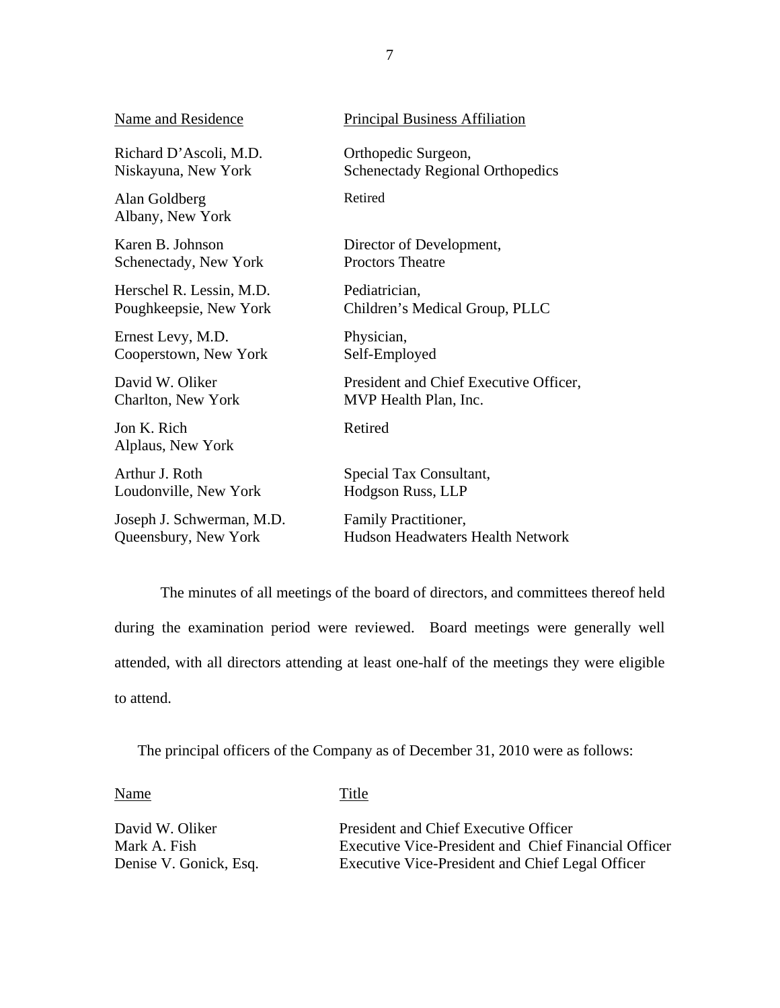| Name and Residence                | <b>Principal Business Affiliation</b>   |
|-----------------------------------|-----------------------------------------|
| Richard D'Ascoli, M.D.            | Orthopedic Surgeon,                     |
| Niskayuna, New York               | <b>Schenectady Regional Orthopedics</b> |
| Alan Goldberg<br>Albany, New York | Retired                                 |
| Karen B. Johnson                  | Director of Development,                |
| Schenectady, New York             | <b>Proctors Theatre</b>                 |
| Herschel R. Lessin, M.D.          | Pediatrician,                           |
| Poughkeepsie, New York            | Children's Medical Group, PLLC          |
| Ernest Levy, M.D.                 | Physician,                              |
| Cooperstown, New York             | Self-Employed                           |
| David W. Oliker                   | President and Chief Executive Officer,  |
| Charlton, New York                | MVP Health Plan, Inc.                   |
| Jon K. Rich<br>Alplaus, New York  | Retired                                 |
| Arthur J. Roth                    | Special Tax Consultant,                 |
| Loudonville, New York             | Hodgson Russ, LLP                       |
| Joseph J. Schwerman, M.D.         | Family Practitioner,                    |
| Queensbury, New York              | Hudson Headwaters Health Network        |

The minutes of all meetings of the board of directors, and committees thereof held during the examination period were reviewed. Board meetings were generally well attended, with all directors attending at least one-half of the meetings they were eligible to attend.

The principal officers of the Company as of December 31, 2010 were as follows:

Name Title

David W. Oliker President and Chief Executive Officer Mark A. Fish Executive Vice-President and Chief Financial Officer Denise V. Gonick, Esq. Executive Vice-President and Chief Legal Officer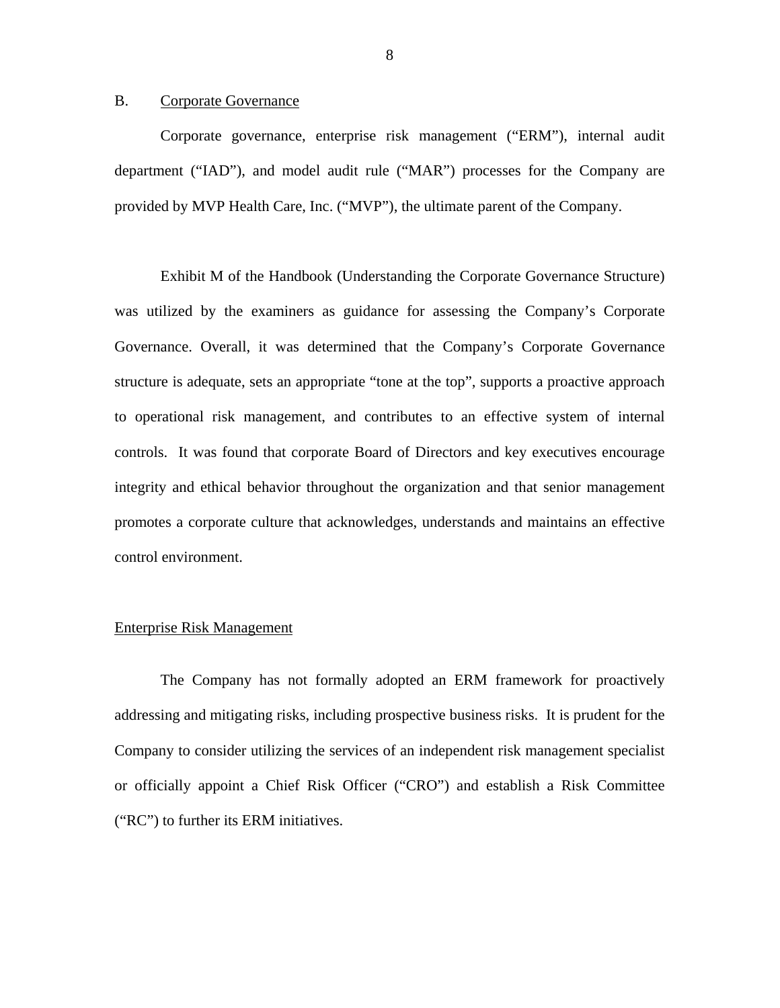### <span id="page-9-0"></span>B. Corporate Governance

Corporate governance, enterprise risk management ("ERM"), internal audit department ("IAD"), and model audit rule ("MAR") processes for the Company are provided by MVP Health Care, Inc. ("MVP"), the ultimate parent of the Company.

Exhibit M of the Handbook (Understanding the Corporate Governance Structure) was utilized by the examiners as guidance for assessing the Company's Corporate Governance. Overall, it was determined that the Company's Corporate Governance structure is adequate, sets an appropriate "tone at the top", supports a proactive approach to operational risk management, and contributes to an effective system of internal controls. It was found that corporate Board of Directors and key executives encourage integrity and ethical behavior throughout the organization and that senior management promotes a corporate culture that acknowledges, understands and maintains an effective control environment.

### Enterprise Risk Management

The Company has not formally adopted an ERM framework for proactively addressing and mitigating risks, including prospective business risks. It is prudent for the Company to consider utilizing the services of an independent risk management specialist or officially appoint a Chief Risk Officer ("CRO") and establish a Risk Committee ("RC") to further its ERM initiatives.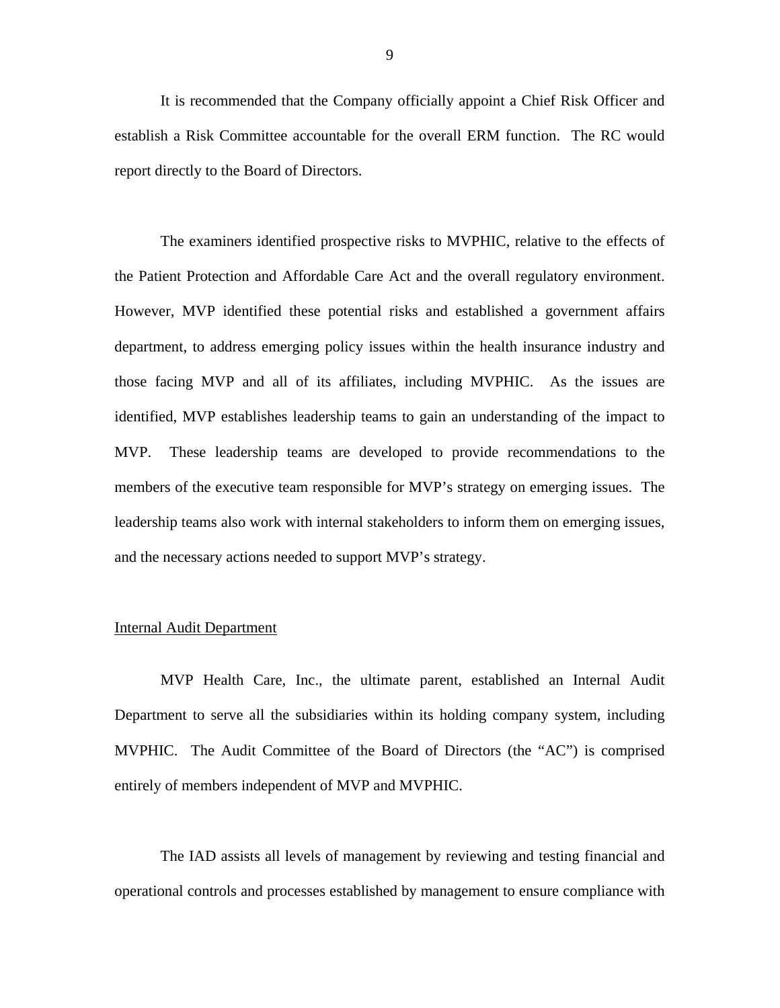It is recommended that the Company officially appoint a Chief Risk Officer and establish a Risk Committee accountable for the overall ERM function. The RC would report directly to the Board of Directors.

The examiners identified prospective risks to MVPHIC, relative to the effects of the Patient Protection and Affordable Care Act and the overall regulatory environment. However, MVP identified these potential risks and established a government affairs department, to address emerging policy issues within the health insurance industry and those facing MVP and all of its affiliates, including MVPHIC. As the issues are identified, MVP establishes leadership teams to gain an understanding of the impact to MVP. These leadership teams are developed to provide recommendations to the members of the executive team responsible for MVP's strategy on emerging issues. The leadership teams also work with internal stakeholders to inform them on emerging issues, and the necessary actions needed to support MVP's strategy.

### Internal Audit Department

MVP Health Care, Inc., the ultimate parent, established an Internal Audit Department to serve all the subsidiaries within its holding company system, including MVPHIC. The Audit Committee of the Board of Directors (the "AC") is comprised entirely of members independent of MVP and MVPHIC.

The IAD assists all levels of management by reviewing and testing financial and operational controls and processes established by management to ensure compliance with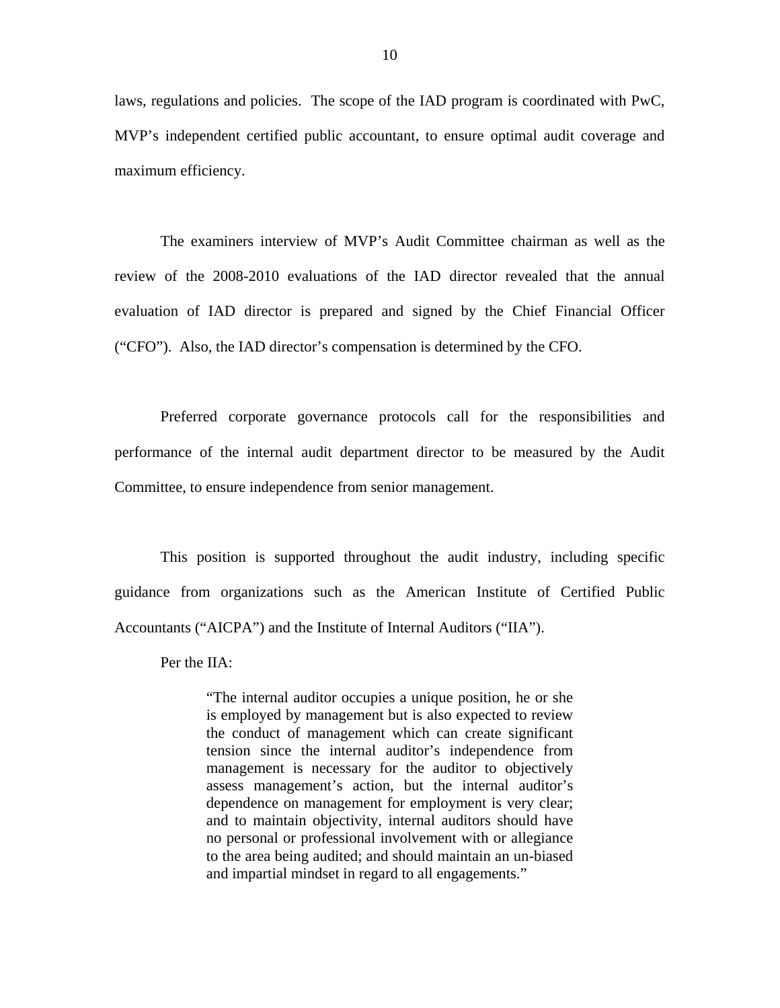laws, regulations and policies. The scope of the IAD program is coordinated with PwC, MVP's independent certified public accountant, to ensure optimal audit coverage and maximum efficiency.

The examiners interview of MVP's Audit Committee chairman as well as the review of the 2008-2010 evaluations of the IAD director revealed that the annual evaluation of IAD director is prepared and signed by the Chief Financial Officer ("CFO"). Also, the IAD director's compensation is determined by the CFO.

Preferred corporate governance protocols call for the responsibilities and performance of the internal audit department director to be measured by the Audit Committee, to ensure independence from senior management.

This position is supported throughout the audit industry, including specific guidance from organizations such as the American Institute of Certified Public Accountants ("AICPA") and the Institute of Internal Auditors ("IIA").

Per the IIA:

"The internal auditor occupies a unique position, he or she is employed by management but is also expected to review the conduct of management which can create significant tension since the internal auditor's independence from management is necessary for the auditor to objectively assess management's action, but the internal auditor's dependence on management for employment is very clear; and to maintain objectivity, internal auditors should have no personal or professional involvement with or allegiance to the area being audited; and should maintain an un-biased and impartial mindset in regard to all engagements."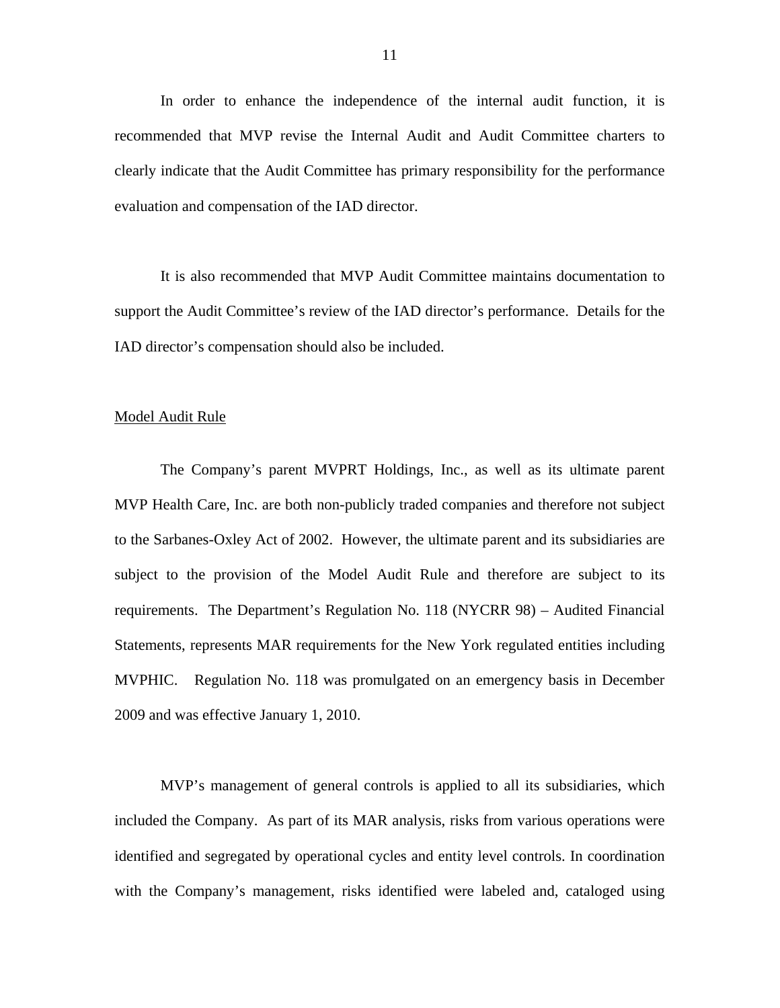In order to enhance the independence of the internal audit function, it is recommended that MVP revise the Internal Audit and Audit Committee charters to clearly indicate that the Audit Committee has primary responsibility for the performance evaluation and compensation of the IAD director.

It is also recommended that MVP Audit Committee maintains documentation to support the Audit Committee's review of the IAD director's performance. Details for the IAD director's compensation should also be included.

### Model Audit Rule

The Company's parent MVPRT Holdings, Inc., as well as its ultimate parent MVP Health Care, Inc. are both non-publicly traded companies and therefore not subject to the Sarbanes-Oxley Act of 2002. However, the ultimate parent and its subsidiaries are subject to the provision of the Model Audit Rule and therefore are subject to its requirements. The Department's Regulation No. 118 (NYCRR 98) – Audited Financial Statements, represents MAR requirements for the New York regulated entities including MVPHIC. Regulation No. 118 was promulgated on an emergency basis in December 2009 and was effective January 1, 2010.

MVP's management of general controls is applied to all its subsidiaries, which included the Company. As part of its MAR analysis, risks from various operations were identified and segregated by operational cycles and entity level controls. In coordination with the Company's management, risks identified were labeled and, cataloged using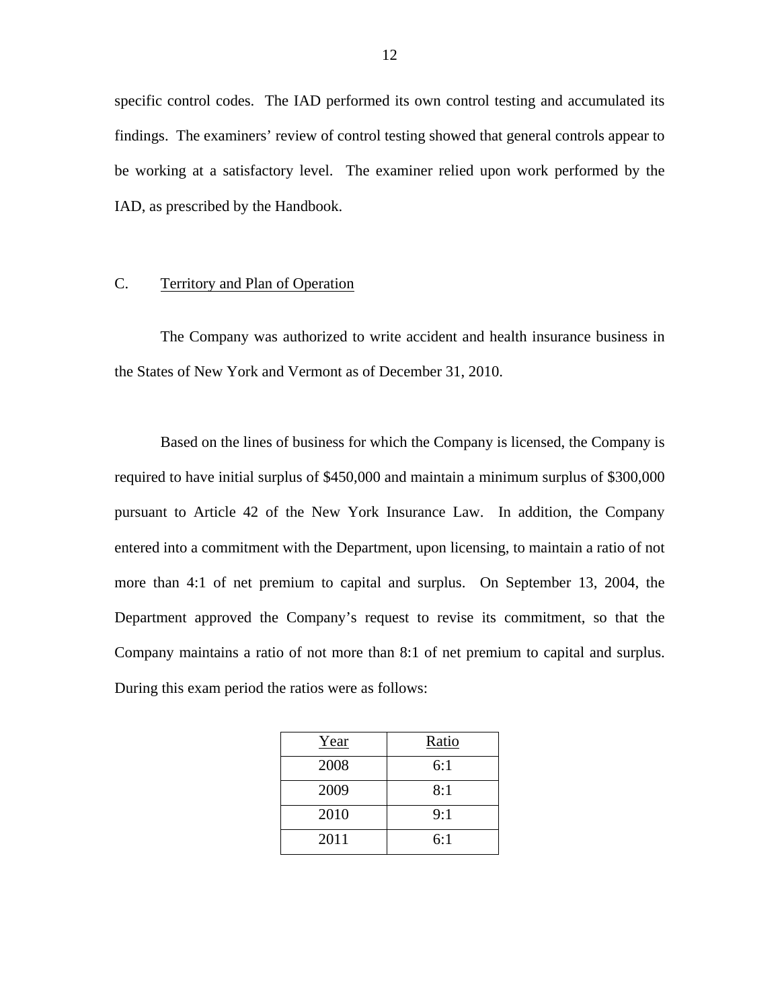specific control codes. The IAD performed its own control testing and accumulated its findings. The examiners' review of control testing showed that general controls appear to be working at a satisfactory level. The examiner relied upon work performed by the IAD, as prescribed by the Handbook.

### C. Territory and Plan of Operation

The Company was authorized to write accident and health insurance business in the States of New York and Vermont as of December 31, 2010.

 Company maintains a ratio of not more than 8:1 of net premium to capital and surplus. During this exam period the ratios were as follows: Based on the lines of business for which the Company is licensed, the Company is required to have initial surplus of \$450,000 and maintain a minimum surplus of \$300,000 pursuant to Article 42 of the New York Insurance Law. In addition, the Company entered into a commitment with the Department, upon licensing, to maintain a ratio of not more than 4:1 of net premium to capital and surplus. On September 13, 2004, the Department approved the Company's request to revise its commitment, so that the

| Year | Ratio |
|------|-------|
| 2008 | 6:1   |
| 2009 | 8:1   |
| 2010 | 9:1   |
| 2011 | 6:1   |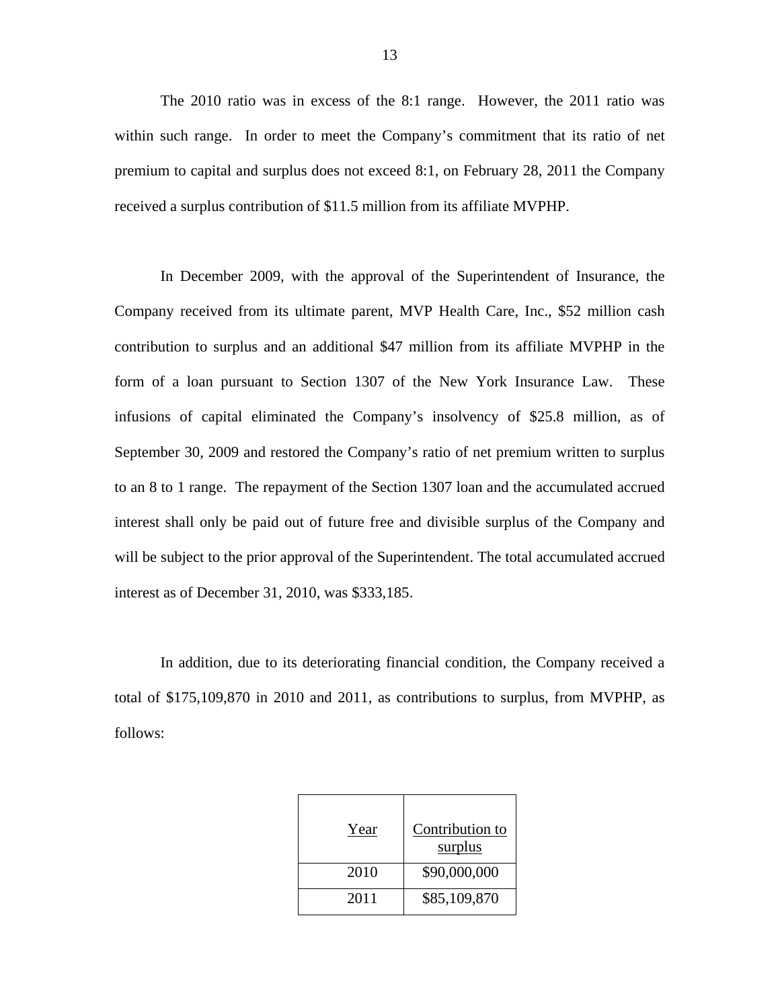The 2010 ratio was in excess of the 8:1 range. However, the 2011 ratio was within such range. In order to meet the Company's commitment that its ratio of net premium to capital and surplus does not exceed 8:1, on February 28, 2011 the Company received a surplus contribution of \$11.5 million from its affiliate MVPHP.

In December 2009, with the approval of the Superintendent of Insurance, the Company received from its ultimate parent, MVP Health Care, Inc., \$52 million cash contribution to surplus and an additional \$47 million from its affiliate MVPHP in the form of a loan pursuant to Section 1307 of the New York Insurance Law. These infusions of capital eliminated the Company's insolvency of \$25.8 million, as of September 30, 2009 and restored the Company's ratio of net premium written to surplus to an 8 to 1 range. The repayment of the Section 1307 loan and the accumulated accrued interest shall only be paid out of future free and divisible surplus of the Company and will be subject to the prior approval of the Superintendent. The total accumulated accrued interest as of December 31, 2010, was \$333,185.

In addition, due to its deteriorating financial condition, the Company received a total of \$175,109,870 in 2010 and 2011, as contributions to surplus, from MVPHP, as follows:

| Year | Contribution to<br>surplus |
|------|----------------------------|
| 2010 | \$90,000,000               |
| 2011 | \$85,109,870               |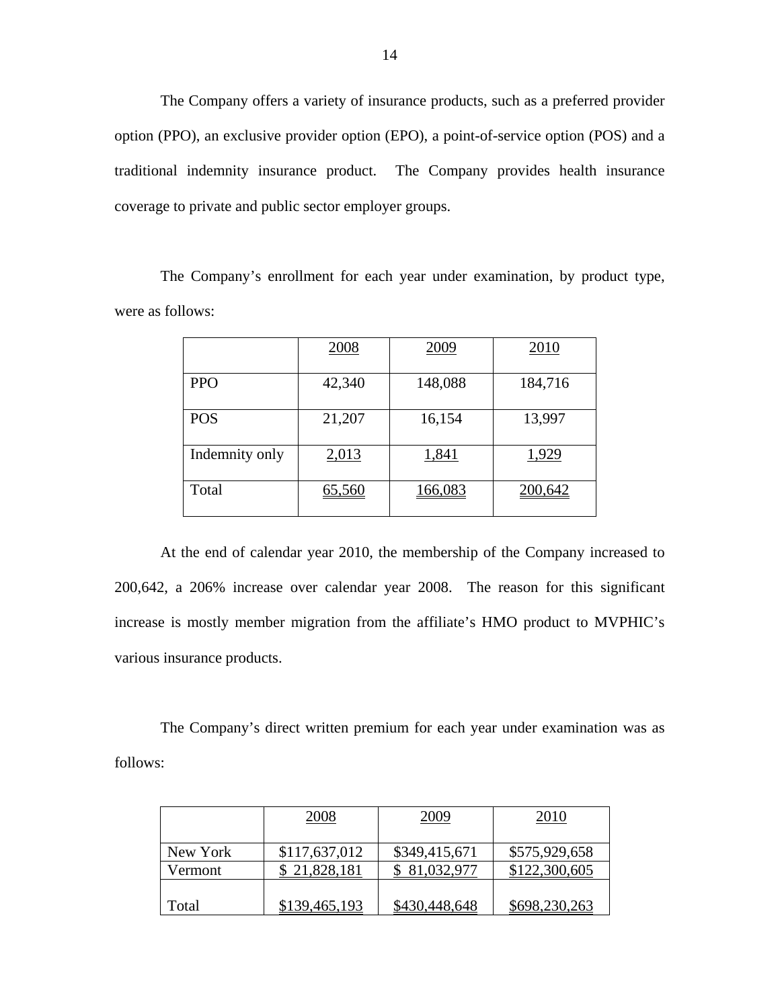The Company offers a variety of insurance products, such as a preferred provider option (PPO), an exclusive provider option (EPO), a point-of-service option (POS) and a traditional indemnity insurance product. The Company provides health insurance coverage to private and public sector employer groups.

The Company's enrollment for each year under examination, by product type, were as follows:

|                | 2008   | 2009    | 2010    |
|----------------|--------|---------|---------|
| <b>PPO</b>     | 42,340 | 148,088 | 184,716 |
| <b>POS</b>     | 21,207 | 16,154  | 13,997  |
| Indemnity only | 2,013  | 1,841   | 1,929   |
| Total          | 65,560 | 166,083 | 200,642 |

At the end of calendar year 2010, the membership of the Company increased to 200,642, a 206% increase over calendar year 2008. The reason for this significant increase is mostly member migration from the affiliate's HMO product to MVPHIC's various insurance products.

The Company's direct written premium for each year under examination was as follows:

|          | 2008          | 2009          | 2010          |
|----------|---------------|---------------|---------------|
| New York | \$117,637,012 | \$349,415,671 | \$575,929,658 |
| Vermont  | \$21,828,181  | \$ 81,032,977 | \$122,300,605 |
| Total    | \$139,465,193 | \$430,448,648 | \$698,230,263 |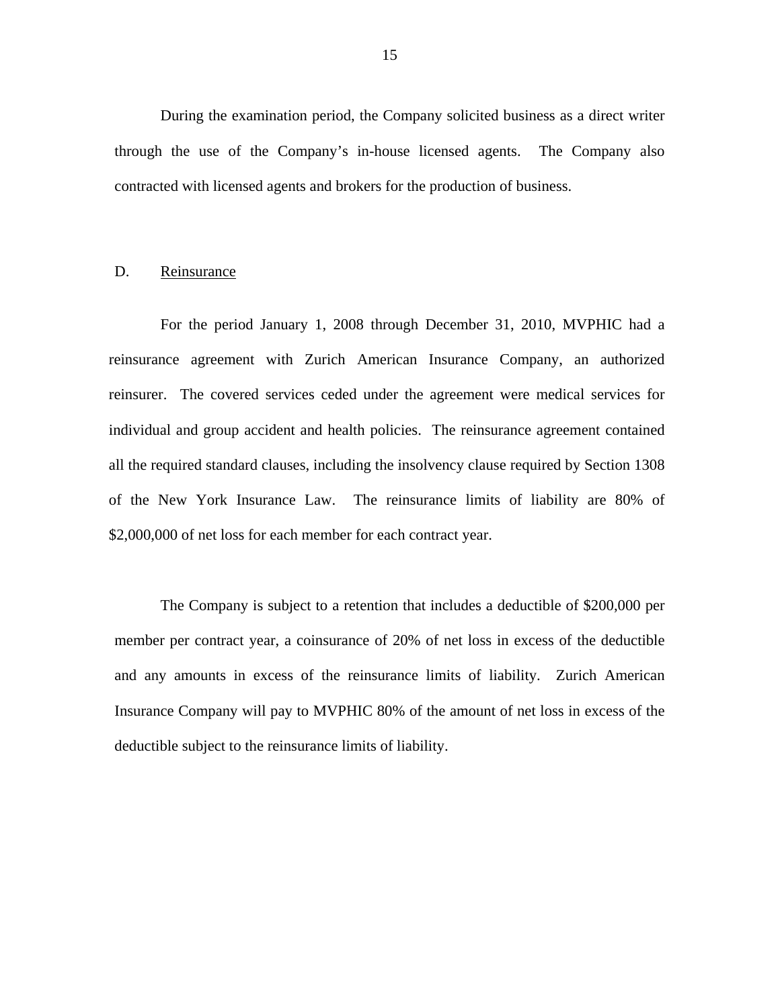<span id="page-16-0"></span>During the examination period, the Company solicited business as a direct writer through the use of the Company's in-house licensed agents. The Company also contracted with licensed agents and brokers for the production of business.

### D. Reinsurance

For the period January 1, 2008 through December 31, 2010, MVPHIC had a reinsurance agreement with Zurich American Insurance Company, an authorized reinsurer. The covered services ceded under the agreement were medical services for individual and group accident and health policies. The reinsurance agreement contained all the required standard clauses, including the insolvency clause required by Section 1308 of the New York Insurance Law. The reinsurance limits of liability are 80% of \$2,000,000 of net loss for each member for each contract year.

The Company is subject to a retention that includes a deductible of \$200,000 per member per contract year, a coinsurance of 20% of net loss in excess of the deductible and any amounts in excess of the reinsurance limits of liability. Zurich American Insurance Company will pay to MVPHIC 80% of the amount of net loss in excess of the deductible subject to the reinsurance limits of liability.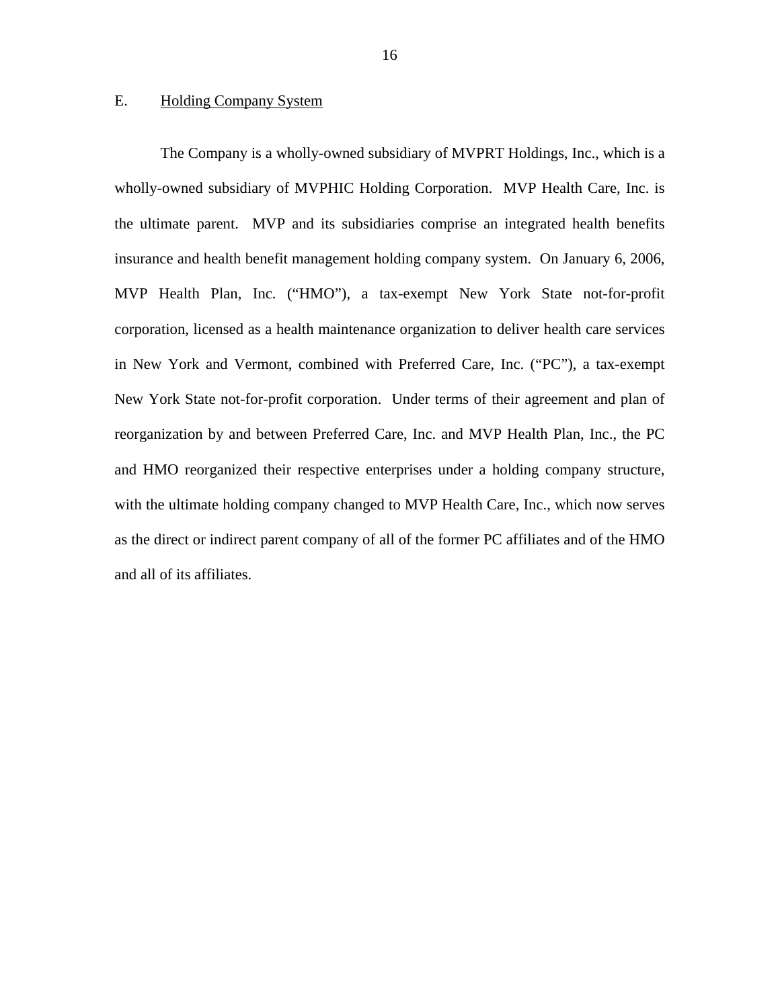### <span id="page-17-0"></span>E. Holding Company System

The Company is a wholly-owned subsidiary of MVPRT Holdings, Inc., which is a wholly-owned subsidiary of MVPHIC Holding Corporation. MVP Health Care, Inc. is the ultimate parent. MVP and its subsidiaries comprise an integrated health benefits insurance and health benefit management holding company system. On January 6, 2006, MVP Health Plan, Inc. ("HMO"), a tax-exempt New York State not-for-profit corporation, licensed as a health maintenance organization to deliver health care services in New York and Vermont, combined with Preferred Care, Inc. ("PC"), a tax-exempt New York State not-for-profit corporation. Under terms of their agreement and plan of reorganization by and between Preferred Care, Inc. and MVP Health Plan, Inc., the PC and HMO reorganized their respective enterprises under a holding company structure, with the ultimate holding company changed to MVP Health Care, Inc., which now serves as the direct or indirect parent company of all of the former PC affiliates and of the HMO and all of its affiliates.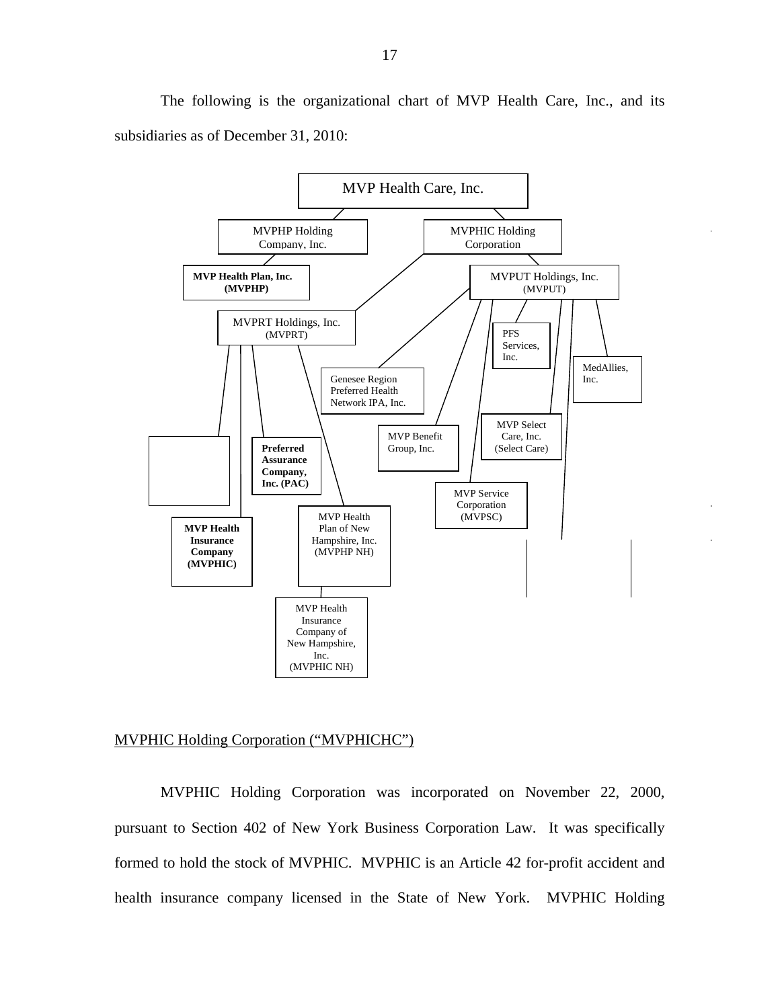The following is the organizational chart of MVP Health Care, Inc., and its subsidiaries as of December 31, 2010:



### MVPHIC Holding Corporation ("MVPHICHC")

MVPHIC Holding Corporation was incorporated on November 22, 2000, pursuant to Section 402 of New York Business Corporation Law. It was specifically formed to hold the stock of MVPHIC. MVPHIC is an Article 42 for-profit accident and health insurance company licensed in the State of New York. MVPHIC Holding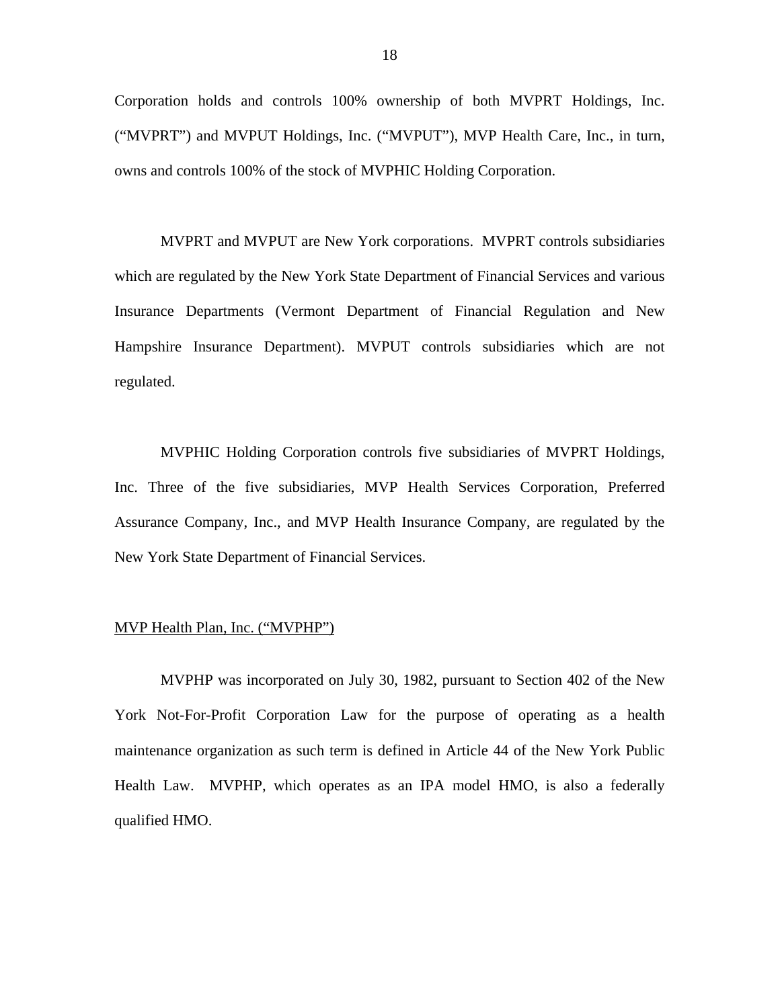Corporation holds and controls 100% ownership of both MVPRT Holdings, Inc. ("MVPRT") and MVPUT Holdings, Inc. ("MVPUT"), MVP Health Care, Inc., in turn, owns and controls 100% of the stock of MVPHIC Holding Corporation.

MVPRT and MVPUT are New York corporations. MVPRT controls subsidiaries which are regulated by the New York State Department of Financial Services and various Insurance Departments (Vermont Department of Financial Regulation and New Hampshire Insurance Department). MVPUT controls subsidiaries which are not regulated.

MVPHIC Holding Corporation controls five subsidiaries of MVPRT Holdings, Inc. Three of the five subsidiaries, MVP Health Services Corporation, Preferred Assurance Company, Inc., and MVP Health Insurance Company, are regulated by the New York State Department of Financial Services.

### MVP Health Plan, Inc. ("MVPHP")

MVPHP was incorporated on July 30, 1982, pursuant to Section 402 of the New York Not-For-Profit Corporation Law for the purpose of operating as a health maintenance organization as such term is defined in Article 44 of the New York Public Health Law. MVPHP, which operates as an IPA model HMO, is also a federally qualified HMO.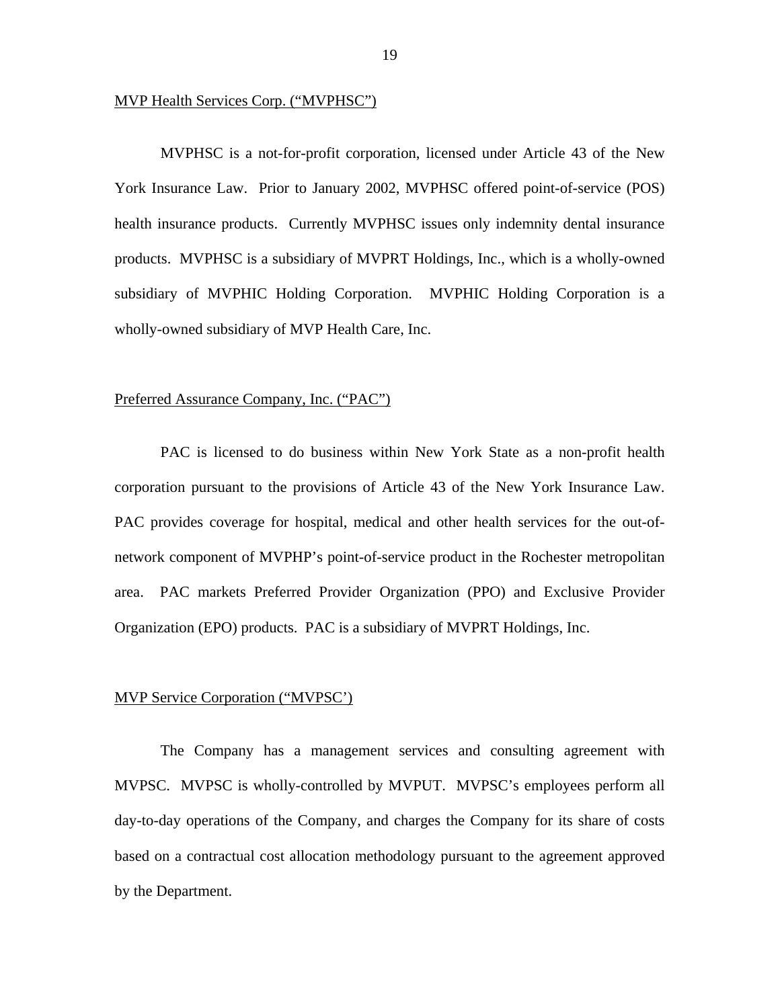### MVP Health Services Corp. ("MVPHSC")

MVPHSC is a not-for-profit corporation, licensed under Article 43 of the New York Insurance Law. Prior to January 2002, MVPHSC offered point-of-service (POS) health insurance products. Currently MVPHSC issues only indemnity dental insurance products. MVPHSC is a subsidiary of MVPRT Holdings, Inc., which is a wholly-owned subsidiary of MVPHIC Holding Corporation. MVPHIC Holding Corporation is a wholly-owned subsidiary of MVP Health Care, Inc.

### Preferred Assurance Company, Inc. ("PAC")

PAC is licensed to do business within New York State as a non-profit health corporation pursuant to the provisions of Article 43 of the New York Insurance Law. PAC provides coverage for hospital, medical and other health services for the out-ofnetwork component of MVPHP's point-of-service product in the Rochester metropolitan area. PAC markets Preferred Provider Organization (PPO) and Exclusive Provider Organization (EPO) products. PAC is a subsidiary of MVPRT Holdings, Inc.

### MVP Service Corporation ("MVPSC')

The Company has a management services and consulting agreement with MVPSC. MVPSC is wholly-controlled by MVPUT. MVPSC's employees perform all day-to-day operations of the Company, and charges the Company for its share of costs based on a contractual cost allocation methodology pursuant to the agreement approved by the Department.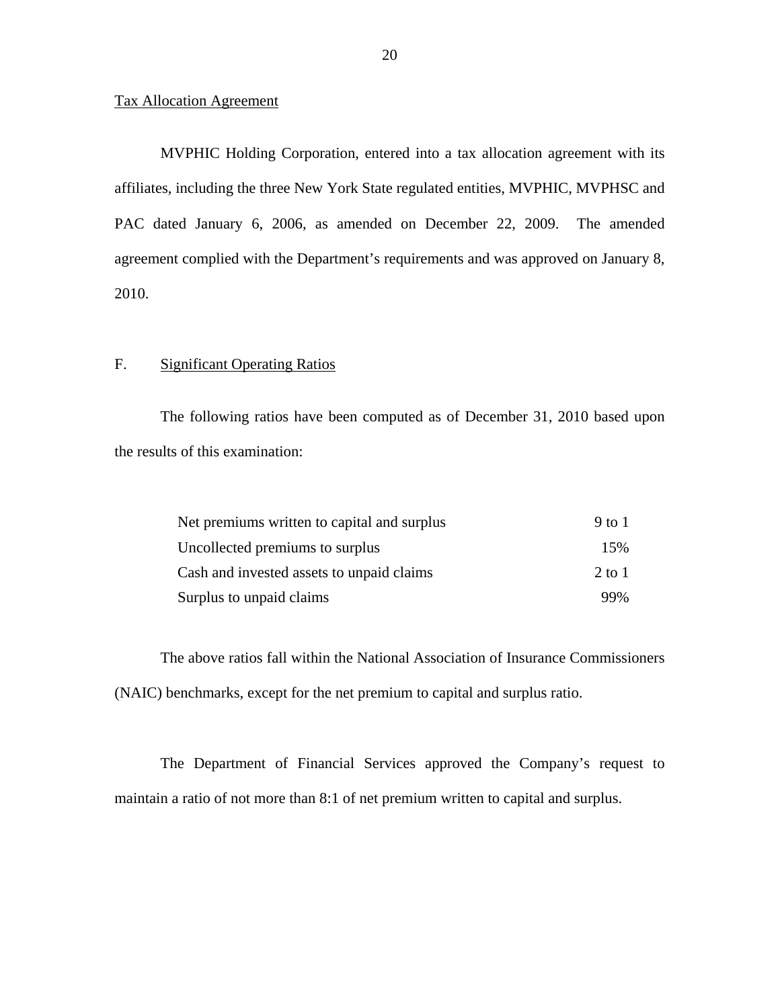### Tax Allocation Agreement

MVPHIC Holding Corporation, entered into a tax allocation agreement with its affiliates, including the three New York State regulated entities, MVPHIC, MVPHSC and PAC dated January 6, 2006, as amended on December 22, 2009. The amended agreement complied with the Department's requirements and was approved on January 8, 2010.

### F. Significant Operating Ratios

The following ratios have been computed as of December 31, 2010 based upon the results of this examination:

| Net premiums written to capital and surplus | 9 to 1 |
|---------------------------------------------|--------|
| Uncollected premiums to surplus             | 15%    |
| Cash and invested assets to unpaid claims   | 2 to 1 |
| Surplus to unpaid claims                    | 99%    |

The above ratios fall within the National Association of Insurance Commissioners (NAIC) benchmarks, except for the net premium to capital and surplus ratio.

The Department of Financial Services approved the Company's request to maintain a ratio of not more than 8:1 of net premium written to capital and surplus.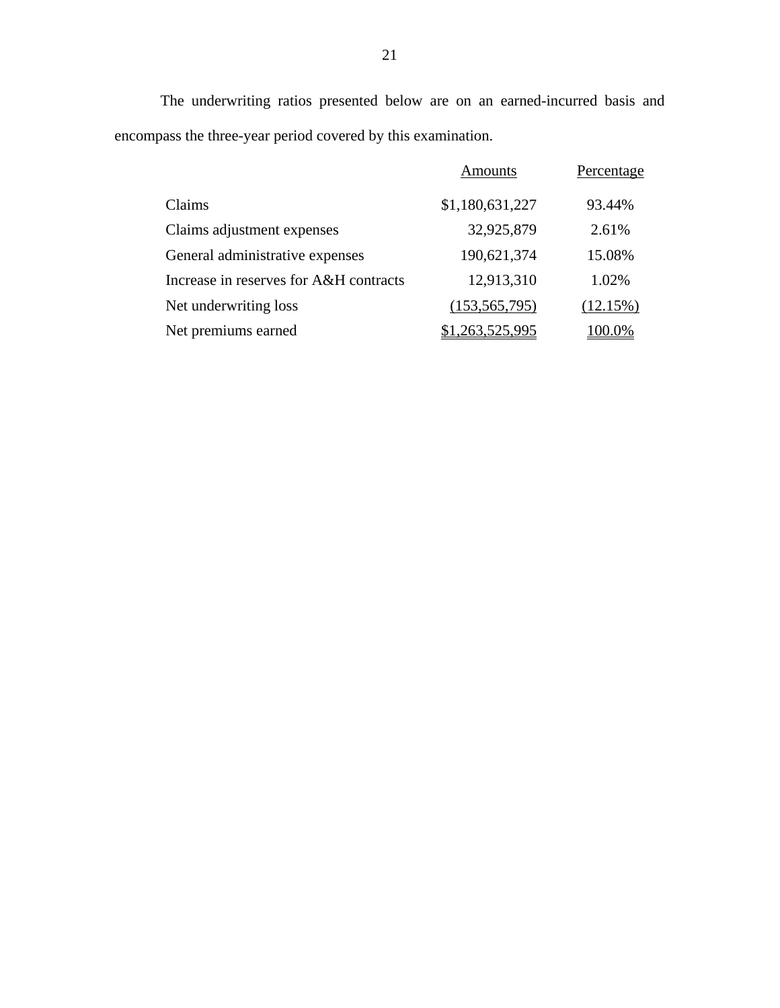The underwriting ratios presented below are on an earned-incurred basis and encompass the three-year period covered by this examination.

|                                        | <b>Amounts</b>  | Percentage |
|----------------------------------------|-----------------|------------|
| Claims                                 | \$1,180,631,227 | 93.44%     |
| Claims adjustment expenses             | 32,925,879      | 2.61%      |
| General administrative expenses        | 190,621,374     | 15.08%     |
| Increase in reserves for A&H contracts | 12,913,310      | 1.02%      |
| Net underwriting loss                  | (153, 565, 795) | (12.15%)   |
| Net premiums earned                    | \$1,263,525,995 | 100.0%     |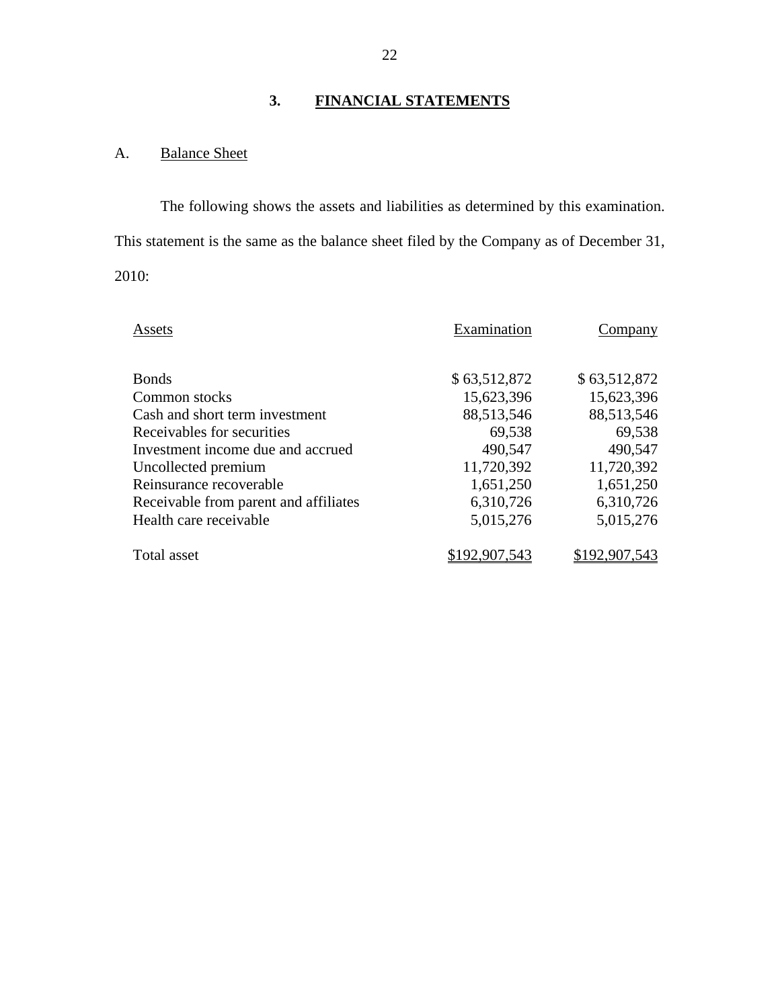# **3. FINANCIAL STATEMENTS**

# A. Balance Sheet

The following shows the assets and liabilities as determined by this examination. This statement is the same as the balance sheet filed by the Company as of December 31, 2010:

| Assets                                | Examination  | Company      |
|---------------------------------------|--------------|--------------|
|                                       |              |              |
| <b>Bonds</b>                          | \$63,512,872 | \$63,512,872 |
| Common stocks                         | 15,623,396   | 15,623,396   |
| Cash and short term investment        | 88,513,546   | 88,513,546   |
| Receivables for securities            | 69,538       | 69,538       |
| Investment income due and accrued     | 490,547      | 490,547      |
| Uncollected premium                   | 11,720,392   | 11,720,392   |
| Reinsurance recoverable               | 1,651,250    | 1,651,250    |
| Receivable from parent and affiliates | 6,310,726    | 6,310,726    |
| Health care receivable                | 5,015,276    | 5,015,276    |
| Total asset                           |              | 92.90        |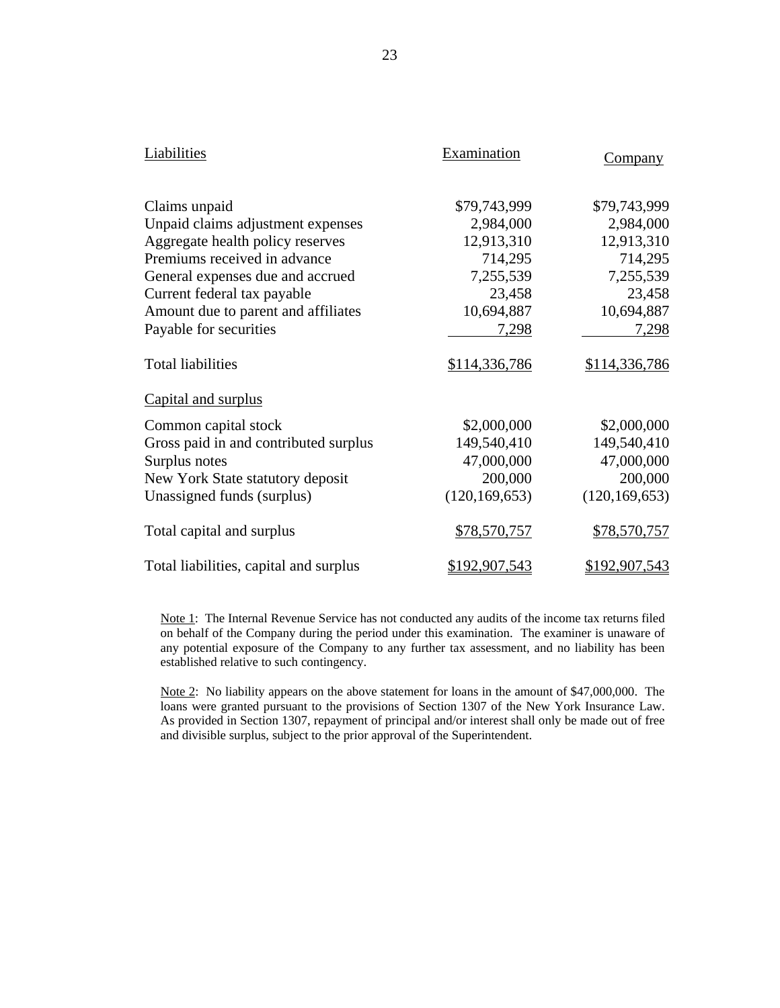| Liabilities                            | Examination     | <b>Company</b>  |
|----------------------------------------|-----------------|-----------------|
| Claims unpaid                          | \$79,743,999    | \$79,743,999    |
| Unpaid claims adjustment expenses      | 2,984,000       | 2,984,000       |
| Aggregate health policy reserves       | 12,913,310      | 12,913,310      |
| Premiums received in advance           | 714,295         | 714,295         |
| General expenses due and accrued       | 7,255,539       | 7,255,539       |
| Current federal tax payable            | 23,458          | 23,458          |
| Amount due to parent and affiliates    | 10,694,887      | 10,694,887      |
| Payable for securities                 | 7,298           | 7,298           |
| <b>Total liabilities</b>               | \$114,336,786   | \$114,336,786   |
| Capital and surplus                    |                 |                 |
| Common capital stock                   | \$2,000,000     | \$2,000,000     |
| Gross paid in and contributed surplus  | 149,540,410     | 149,540,410     |
| Surplus notes                          | 47,000,000      | 47,000,000      |
| New York State statutory deposit       | 200,000         | 200,000         |
| Unassigned funds (surplus)             | (120, 169, 653) | (120, 169, 653) |
| Total capital and surplus              | \$78,570,757    | \$78,570,757    |
| Total liabilities, capital and surplus | \$192,907,543   | \$192,907,543   |

Note 1: The Internal Revenue Service has not conducted any audits of the income tax returns filed on behalf of the Company during the period under this examination. The examiner is unaware of any potential exposure of the Company to any further tax assessment, and no liability has been established relative to such contingency.

loans were granted pursuant to the provisions of Section 1307 of the New York Insurance Law. and divisible surplus, subject to the prior approval of the Superintendent. Note 2: No liability appears on the above statement for loans in the amount of \$47,000,000. The As provided in Section 1307, repayment of principal and/or interest shall only be made out of free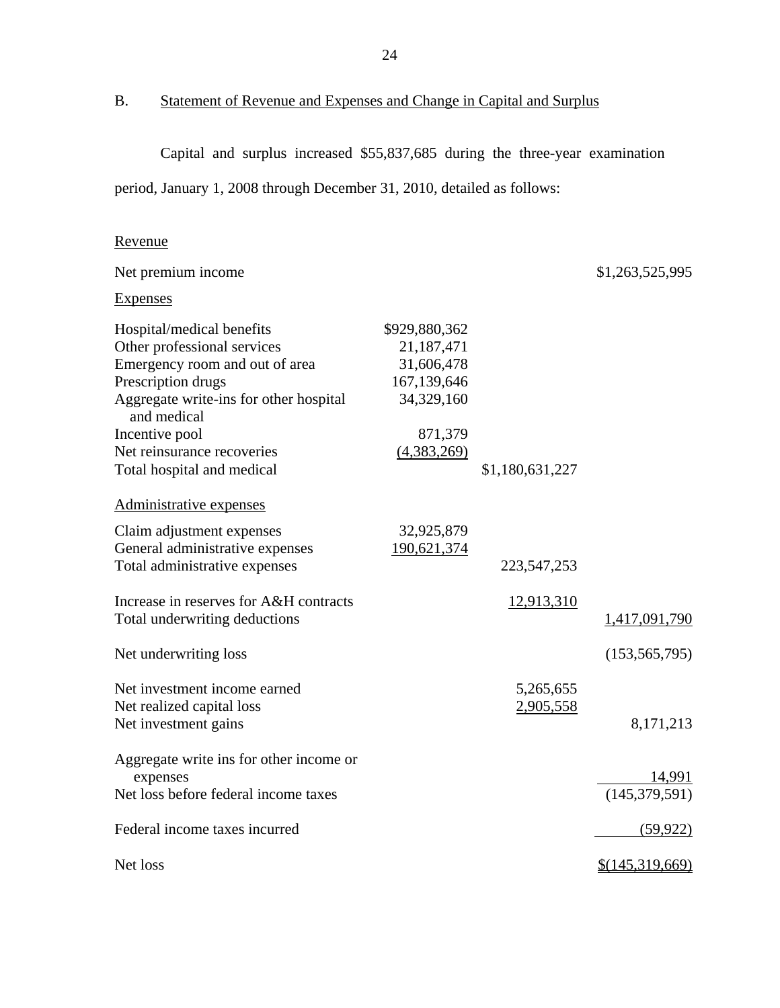B. Statement of Revenue and Expenses and Change in Capital and Surplus

Capital and surplus increased \$55,837,685 during the three-year examination

period, January 1, 2008 through December 31, 2010, detailed as follows:

# Revenue

| Net premium income                                                                                                                                                                                                                                      |                                                                                                  |                        | \$1,263,525,995           |
|---------------------------------------------------------------------------------------------------------------------------------------------------------------------------------------------------------------------------------------------------------|--------------------------------------------------------------------------------------------------|------------------------|---------------------------|
| <b>Expenses</b>                                                                                                                                                                                                                                         |                                                                                                  |                        |                           |
| Hospital/medical benefits<br>Other professional services<br>Emergency room and out of area<br>Prescription drugs<br>Aggregate write-ins for other hospital<br>and medical<br>Incentive pool<br>Net reinsurance recoveries<br>Total hospital and medical | \$929,880,362<br>21,187,471<br>31,606,478<br>167,139,646<br>34,329,160<br>871,379<br>(4,383,269) | \$1,180,631,227        |                           |
| Administrative expenses                                                                                                                                                                                                                                 |                                                                                                  |                        |                           |
| Claim adjustment expenses<br>General administrative expenses<br>Total administrative expenses                                                                                                                                                           | 32,925,879<br>190,621,374                                                                        | 223, 547, 253          |                           |
| Increase in reserves for A&H contracts<br>Total underwriting deductions                                                                                                                                                                                 |                                                                                                  | 12,913,310             | 1,417,091,790             |
| Net underwriting loss                                                                                                                                                                                                                                   |                                                                                                  |                        | (153, 565, 795)           |
| Net investment income earned<br>Net realized capital loss<br>Net investment gains                                                                                                                                                                       |                                                                                                  | 5,265,655<br>2,905,558 | 8,171,213                 |
| Aggregate write ins for other income or<br>expenses<br>Net loss before federal income taxes                                                                                                                                                             |                                                                                                  |                        | 14,991<br>(145, 379, 591) |
| Federal income taxes incurred                                                                                                                                                                                                                           |                                                                                                  |                        | (59, 922)                 |
| Net loss                                                                                                                                                                                                                                                |                                                                                                  |                        | \$(145,319,669)           |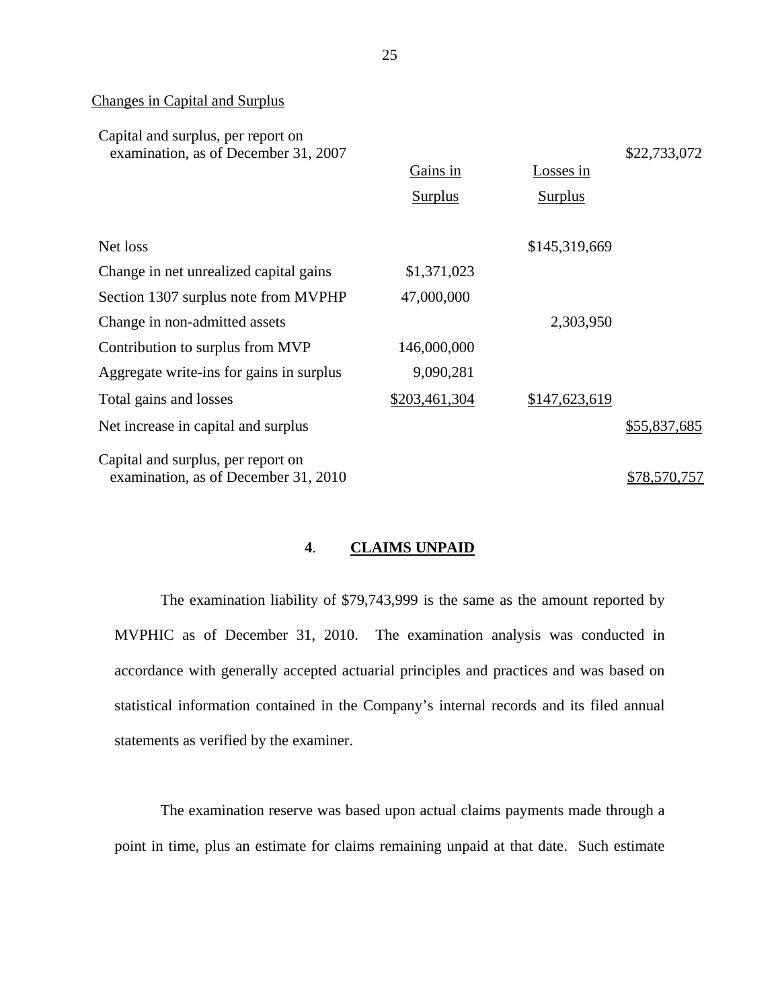### Changes in Capital and Surplus

| Capital and surplus, per report on<br>examination, as of December 31, 2007 |                |               | \$22,733,072 |
|----------------------------------------------------------------------------|----------------|---------------|--------------|
|                                                                            | Gains in       | Losses in     |              |
|                                                                            | <b>Surplus</b> | Surplus       |              |
| Net loss                                                                   |                | \$145,319,669 |              |
| Change in net unrealized capital gains                                     | \$1,371,023    |               |              |
| Section 1307 surplus note from MVPHP                                       | 47,000,000     |               |              |
| Change in non-admitted assets                                              |                | 2,303,950     |              |
| Contribution to surplus from MVP                                           | 146,000,000    |               |              |
| Aggregate write-ins for gains in surplus                                   | 9,090,281      |               |              |
| Total gains and losses                                                     | \$203,461,304  | \$147,623,619 |              |
| Net increase in capital and surplus                                        |                |               | \$55,837,685 |
| Capital and surplus, per report on<br>examination, as of December 31, 2010 |                |               | \$78,570,757 |

# **4**. **CLAIMS UNPAID**

The examination liability of \$79,743,999 is the same as the amount reported by MVPHIC as of December 31, 2010. The examination analysis was conducted in accordance with generally accepted actuarial principles and practices and was based on statistical information contained in the Company's internal records and its filed annual statements as verified by the examiner.

The examination reserve was based upon actual claims payments made through a point in time, plus an estimate for claims remaining unpaid at that date. Such estimate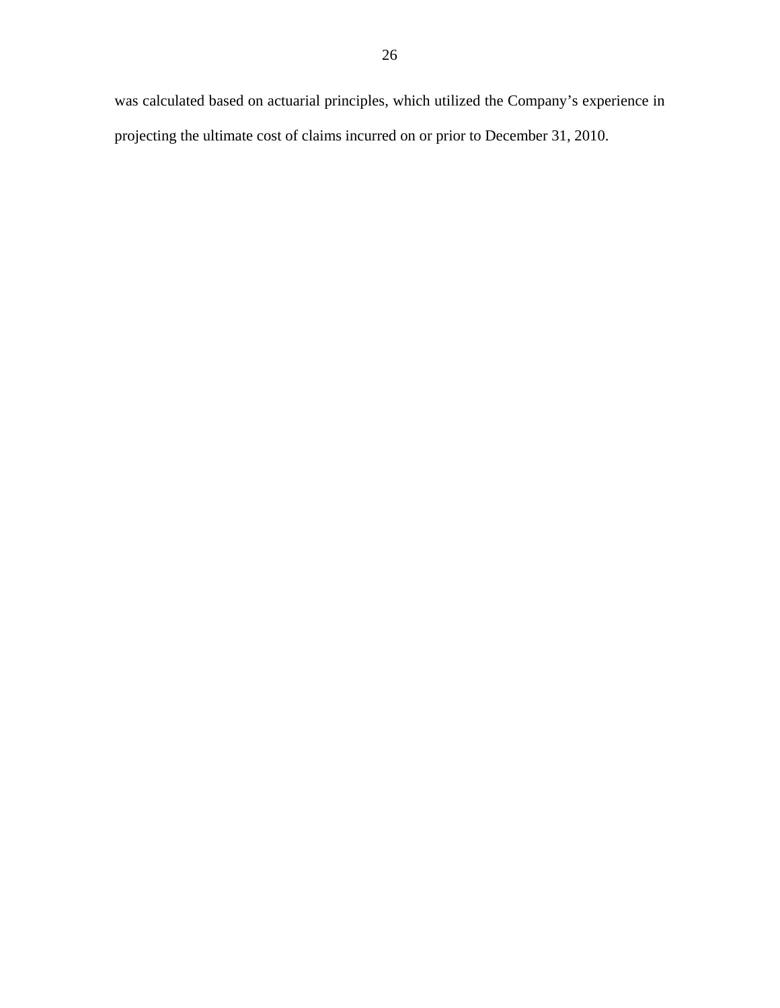was calculated based on actuarial principles, which utilized the Company's experience in projecting the ultimate cost of claims incurred on or prior to December 31, 2010.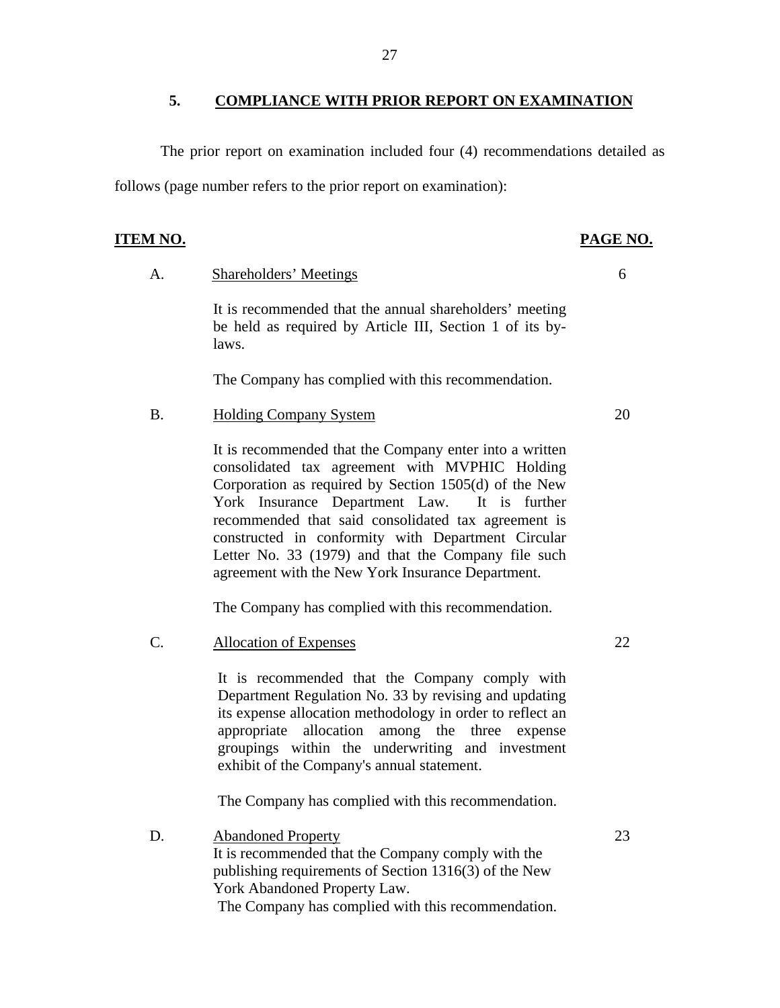### **5. COMPLIANCE WITH PRIOR REPORT ON EXAMINATION**

The prior report on examination included four (4) recommendations detailed as follows (page number refers to the prior report on examination):

### **ITEM NO. PAGE NO.**

A. Shareholders' Meetings 6

It is recommended that the annual shareholders' meeting be held as required by Article III, Section 1 of its bylaws.

The Company has complied with this recommendation.

B. Holding Company System 20

It is recommended that the Company enter into a written consolidated tax agreement with MVPHIC Holding Corporation as required by Section 1505(d) of the New York Insurance Department Law. It is further recommended that said consolidated tax agreement is constructed in conformity with Department Circular Letter No. 33 (1979) and that the Company file such agreement with the New York Insurance Department.

The Company has complied with this recommendation.

C. Allocation of Expenses 22

It is recommended that the Company comply with Department Regulation No. 33 by revising and updating its expense allocation methodology in order to reflect an appropriate allocation among the three expense groupings within the underwriting and investment exhibit of the Company's annual statement.

The Company has complied with this recommendation.

D. Abandoned Property It is recommended that the Company comply with the publishing requirements of Section 1316(3) of the New York Abandoned Property Law. The Company has complied with this recommendation.

23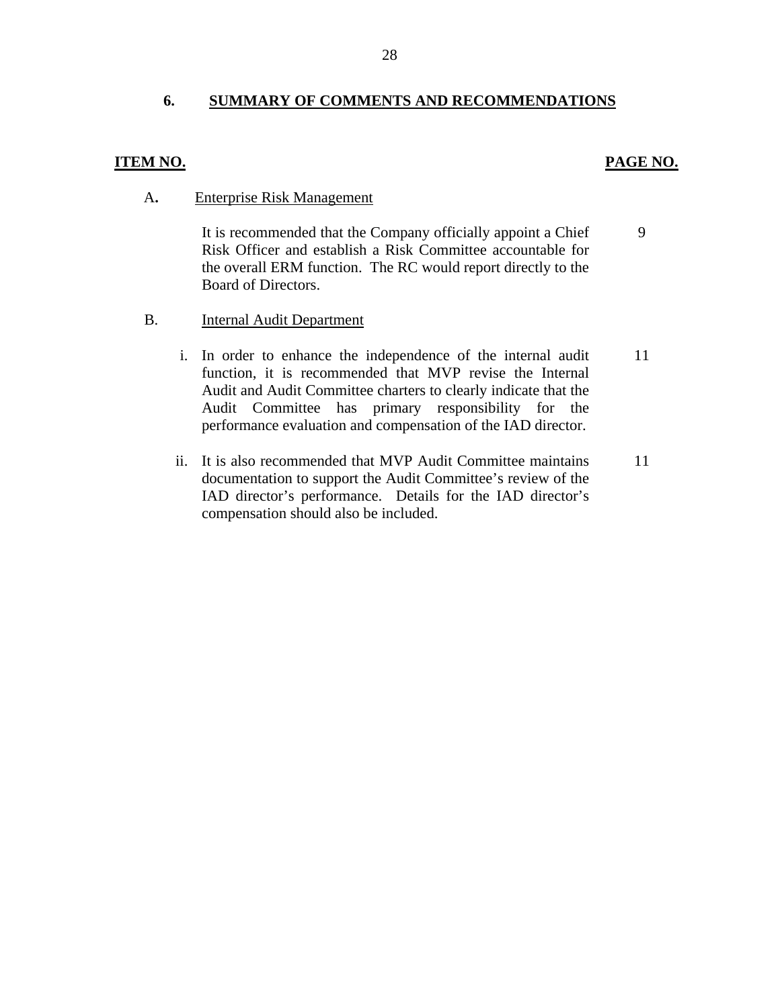## **6. SUMMARY OF COMMENTS AND RECOMMENDATIONS**

## **ITEM NO. PAGE NO.**

9

### A**.** Enterprise Risk Management

It is recommended that the Company officially appoint a Chief Risk Officer and establish a Risk Committee accountable for the overall ERM function. The RC would report directly to the Board of Directors.

- B. Internal Audit Department
	- i. In order to enhance the independence of the internal audit function, it is recommended that MVP revise the Internal Audit and Audit Committee charters to clearly indicate that the Audit Committee has primary responsibility for the performance evaluation and compensation of the IAD director. 11
	- ii. It is also recommended that MVP Audit Committee maintains documentation to support the Audit Committee's review of the IAD director's performance. Details for the IAD director's compensation should also be included. 11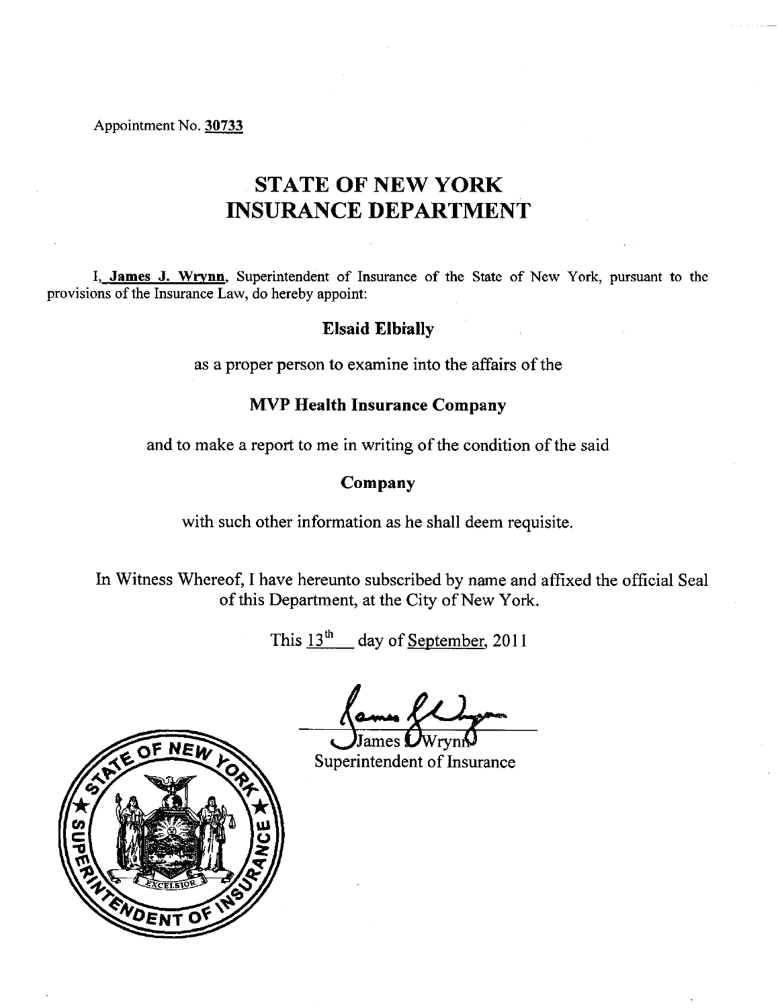Appointment No. 30733

# **STATE OF NEW YORK INSURANCE DEPARTMENT**

I, James J. Wrynn, Superintendent of Insurance of the State of New York, pursuant to the provisions of the Insurance Law, do hereby appoint:

# **Elsaid Elbially**

as a proper person to examine into the affairs of the

# **MVP Health Insurance Company**

and to make a report to me in writing of the condition of the said

# Company

with such other information as he shall deem requisite.

In Witness Whereof, I have hereunto subscribed by name and affixed the official Seal of this Department, at the City of New York.

This  $13^{\text{th}}$  day of September, 2011

Superintendent of Insurance